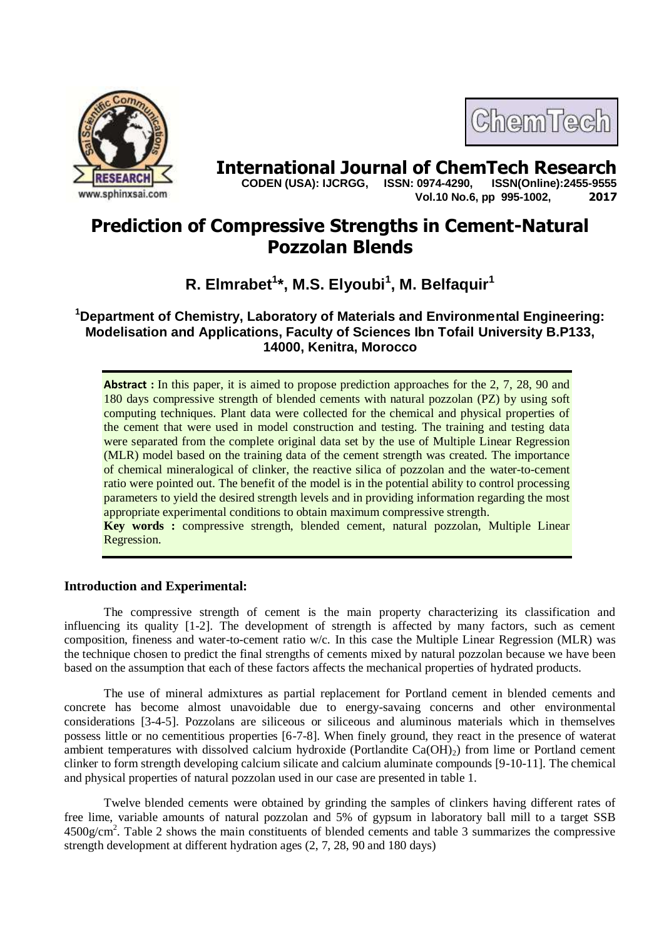

# **International Journal of ChemTech Research copen (USA): IJCRGG.** ISSN: 0974-4290. ISSN(Online):2455-9555

 **CODEN (USA): IJCRGG, ISSN: 0974-4290, Vol.10 No.6, pp 995-1002, 2017**

ChemTech

# **Prediction of Compressive Strengths in Cement-Natural Pozzolan Blends**

**R. Elmrabet<sup>1</sup> \*, M.S. Elyoubi<sup>1</sup> , M. Belfaquir<sup>1</sup>**

**<sup>1</sup>Department of Chemistry, Laboratory of Materials and Environmental Engineering: Modelisation and Applications, Faculty of Sciences Ibn Tofail University B.P133, 14000, Kenitra, Morocco**

**Abstract**: In this paper, it is aimed to propose prediction approaches for the 2, 7, 28, 90 and 180 days compressive strength of blended cements with natural pozzolan (PZ) by using soft computing techniques. Plant data were collected for the chemical and physical properties of the cement that were used in model construction and testing. The training and testing data were separated from the complete original data set by the use of Multiple Linear Regression (MLR) model based on the training data of the cement strength was created. The importance of chemical mineralogical of clinker, the reactive silica of pozzolan and the water-to-cement ratio were pointed out. The benefit of the model is in the potential ability to control processing parameters to yield the desired strength levels and in providing information regarding the most appropriate experimental conditions to obtain maximum compressive strength.

**Key words :** compressive strength, blended cement, natural pozzolan, Multiple Linear Regression.

# **Introduction and Experimental:**

The compressive strength of cement is the main property characterizing its classification and influencing its quality [1-2]. The development of strength is affected by many factors, such as cement composition, fineness and water-to-cement ratio w/c. In this case the Multiple Linear Regression (MLR) was the technique chosen to predict the final strengths of cements mixed by natural pozzolan because we have been based on the assumption that each of these factors affects the mechanical properties of hydrated products.

The use of mineral admixtures as partial replacement for Portland cement in blended cements and concrete has become almost unavoidable due to energy-savaing concerns and other environmental considerations [3-4-5]. Pozzolans are siliceous or siliceous and aluminous materials which in themselves possess little or no cementitious properties [6-7-8]. When finely ground, they react in the presence of waterat ambient temperatures with dissolved calcium hydroxide (Portlandite  $Ca(OH)_2$ ) from lime or Portland cement clinker to form strength developing calcium silicate and calcium aluminate compounds [9-10-11]. The chemical and physical properties of natural pozzolan used in our case are presented in table 1.

Twelve blended cements were obtained by grinding the samples of clinkers having different rates of free lime, variable amounts of natural pozzolan and 5% of gypsum in laboratory ball mill to a target SSB 4500g/cm<sup>2</sup>. Table 2 shows the main constituents of blended cements and table 3 summarizes the compressive strength development at different hydration ages (2, 7, 28, 90 and 180 days)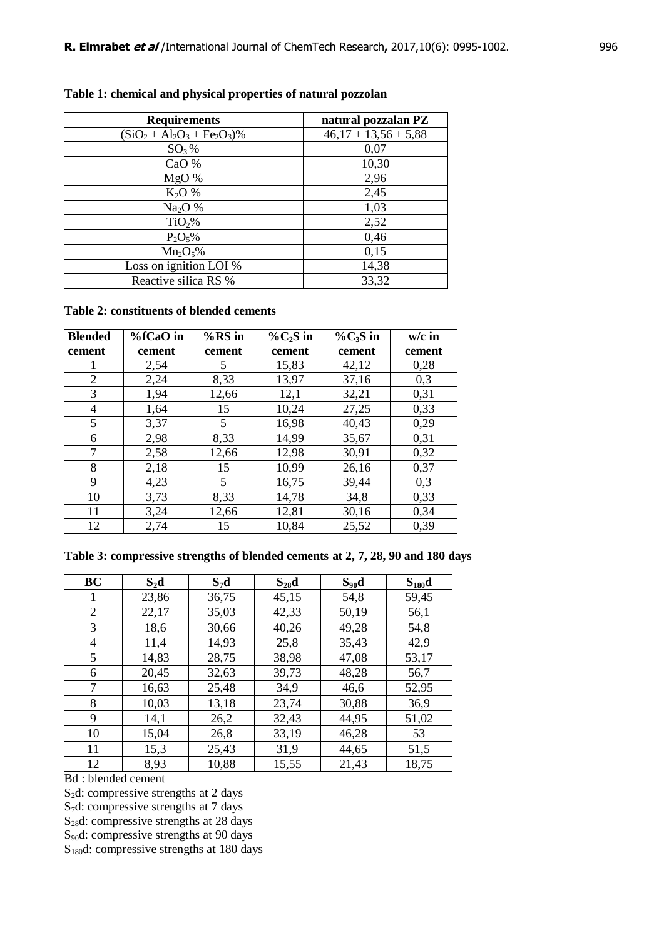| <b>Requirements</b>        | natural pozzalan PZ    |
|----------------------------|------------------------|
| $(SiO2 + Al2O3 + Fe2O3)\%$ | $46,17 + 13,56 + 5,88$ |
| $SO_3\%$                   | 0,07                   |
| CaO %                      | 10,30                  |
| MgO%                       | 2,96                   |
| $K_2O%$                    | 2,45                   |
| Na <sub>2</sub> O %        | 1,03                   |
| TiO <sub>2</sub> %         | 2,52                   |
| $P_2O_5\%$                 | 0,46                   |
| $Mn_2O_5\%$                | 0,15                   |
| Loss on ignition LOI %     | 14,38                  |
| Reactive silica RS %       | 33,32                  |

## **Table 1: chemical and physical properties of natural pozzolan**

#### **Table 2: constituents of blended cements**

| <b>Blended</b> | $%fCaO$ in | $%RS$ in | $\%C_2S$ in | $\%C_3S$ in | $w/c$ in |
|----------------|------------|----------|-------------|-------------|----------|
| cement         | cement     | cement   | cement      | cement      | cement   |
| Ι.             | 2,54       | 5        | 15,83       | 42,12       | 0,28     |
| $\overline{2}$ | 2,24       | 8,33     | 13,97       | 37,16       | 0,3      |
| 3              | 1,94       | 12,66    | 12,1        | 32,21       | 0,31     |
| 4              | 1,64       | 15       | 10,24       | 27,25       | 0,33     |
| 5              | 3,37       | 5        | 16,98       | 40,43       | 0,29     |
| 6              | 2,98       | 8,33     | 14,99       | 35,67       | 0,31     |
| 7              | 2,58       | 12,66    | 12,98       | 30,91       | 0,32     |
| 8              | 2,18       | 15       | 10,99       | 26,16       | 0,37     |
| 9              | 4,23       | 5        | 16,75       | 39,44       | 0,3      |
| 10             | 3,73       | 8,33     | 14,78       | 34,8        | 0,33     |
| 11             | 3,24       | 12,66    | 12,81       | 30,16       | 0,34     |
| 12             | 2,74       | 15       | 10,84       | 25,52       | 0,39     |

## **Table 3: compressive strengths of blended cements at 2, 7, 28, 90 and 180 days**

| <b>BC</b> | $S_2d$ | $S_7d$ | $S_{28}d$ | $S_{90}d$ | $S_{180}d$ |
|-----------|--------|--------|-----------|-----------|------------|
| 1         | 23,86  | 36,75  | 45,15     | 54,8      | 59,45      |
| 2         | 22,17  | 35,03  | 42,33     | 50,19     | 56,1       |
| 3         | 18,6   | 30,66  | 40,26     | 49,28     | 54,8       |
| 4         | 11,4   | 14,93  | 25,8      | 35,43     | 42,9       |
| 5         | 14,83  | 28,75  | 38,98     | 47,08     | 53,17      |
| 6         | 20,45  | 32,63  | 39,73     | 48,28     | 56,7       |
| 7         | 16,63  | 25,48  | 34,9      | 46,6      | 52,95      |
| 8         | 10,03  | 13,18  | 23,74     | 30,88     | 36,9       |
| 9         | 14,1   | 26,2   | 32,43     | 44,95     | 51,02      |
| 10        | 15,04  | 26,8   | 33,19     | 46,28     | 53         |
| 11        | 15,3   | 25,43  | 31,9      | 44,65     | 51,5       |
| 12        | 8.93   | 10.88  | 15,55     | 21,43     | 18,75      |

Bd : blended cement

 $S_2$ d: compressive strengths at 2 days

S7d: compressive strengths at 7 days

S<sub>28</sub>d: compressive strengths at 28 days

 $S_{90}$ d: compressive strengths at 90 days

 $S<sub>180</sub>d$ : compressive strengths at 180 days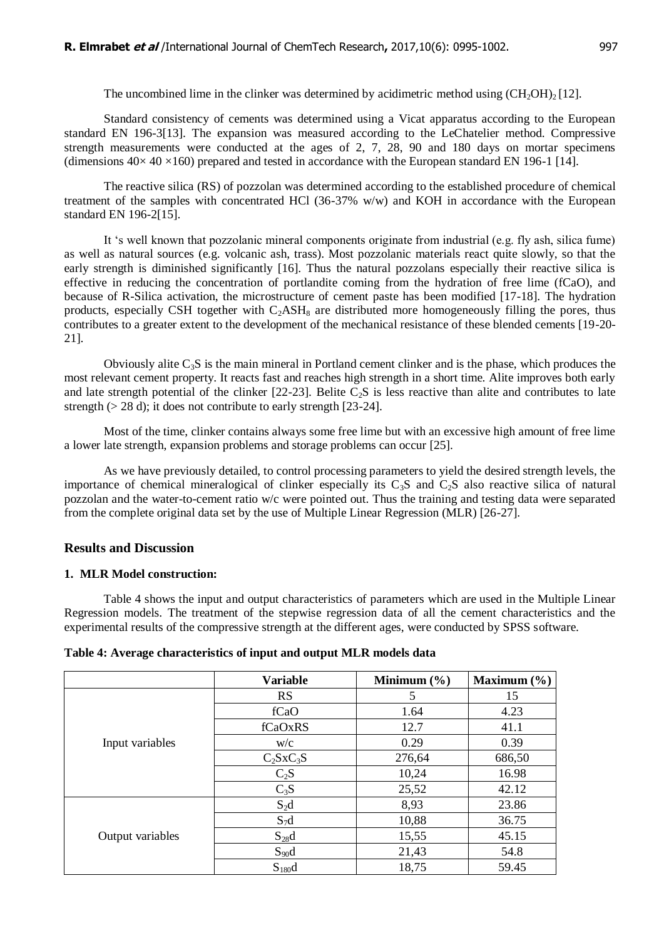The uncombined lime in the clinker was determined by acidimetric method using  $(CH<sub>2</sub>OH)<sub>2</sub>$  [12].

Standard consistency of cements was determined using a Vicat apparatus according to the European standard EN 196-3[13]. The expansion was measured according to the LeChatelier method. Compressive strength measurements were conducted at the ages of 2, 7, 28, 90 and 180 days on mortar specimens (dimensions  $40 \times 40 \times 160$ ) prepared and tested in accordance with the European standard EN 196-1 [14].

The reactive silica (RS) of pozzolan was determined according to the established procedure of chemical treatment of the samples with concentrated HCl (36-37% w/w) and KOH in accordance with the European standard EN 196-2[15].

It "s well known that pozzolanic mineral components originate from industrial (e.g. fly ash, silica fume) as well as natural sources (e.g. volcanic ash, trass). Most pozzolanic materials react quite slowly, so that the early strength is diminished significantly [16]. Thus the natural pozzolans especially their reactive silica is effective in reducing the concentration of portlandite coming from the hydration of free lime (fCaO), and because of R-Silica activation, the microstructure of cement paste has been modified [17-18]. The hydration products, especially CSH together with  $C_2ASH_8$  are distributed more homogeneously filling the pores, thus contributes to a greater extent to the development of the mechanical resistance of these blended cements [19-20- 21].

Obviously alite  $C_3S$  is the main mineral in Portland cement clinker and is the phase, which produces the most relevant cement property. It reacts fast and reaches high strength in a short time. Alite improves both early and late strength potential of the clinker  $[22-23]$ . Belite  $C_2S$  is less reactive than alite and contributes to late strength ( $> 28$  d); it does not contribute to early strength [23-24].

Most of the time, clinker contains always some free lime but with an excessive high amount of free lime a lower late strength, expansion problems and storage problems can occur [25].

As we have previously detailed, to control processing parameters to yield the desired strength levels, the importance of chemical mineralogical of clinker especially its  $C_3S$  and  $C_2S$  also reactive silica of natural pozzolan and the water-to-cement ratio w/c were pointed out. Thus the training and testing data were separated from the complete original data set by the use of Multiple Linear Regression (MLR) [26-27].

#### **Results and Discussion**

#### **1. MLR Model construction:**

Table 4 shows the input and output characteristics of parameters which are used in the Multiple Linear Regression models. The treatment of the stepwise regression data of all the cement characteristics and the experimental results of the compressive strength at the different ages, were conducted by SPSS software.

| Table 4: Average characteristics of input and output MLR models data |  |  |
|----------------------------------------------------------------------|--|--|
|                                                                      |  |  |

|                  | <b>Variable</b> | Minimum $(\% )$ | Maximum $(\% )$ |
|------------------|-----------------|-----------------|-----------------|
|                  | <b>RS</b>       | 5               | 15              |
|                  | fCaO            | 1.64            | 4.23            |
|                  | fCaOxRS         | 12.7            | 41.1            |
| Input variables  | W/C             | 0.29            | 0.39            |
|                  | $C_2SxC_3S$     | 276,64          | 686,50          |
|                  | $C_2S$          | 10,24           | 16.98           |
|                  | $C_3S$          | 25,52           | 42.12           |
|                  | $S_2d$          | 8,93            | 23.86           |
|                  | $S_7d$          | 10,88           | 36.75           |
| Output variables | $S_{28}d$       | 15,55           | 45.15           |
|                  | $S_{90}d$       | 21,43           | 54.8            |
|                  | $S_{180}d$      | 18,75           | 59.45           |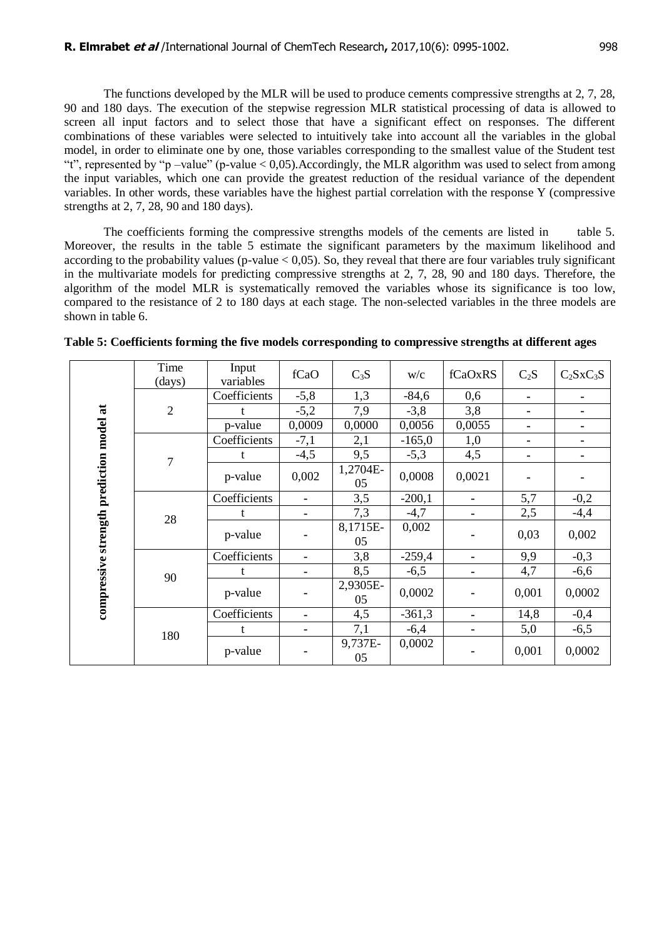The functions developed by the MLR will be used to produce cements compressive strengths at 2, 7, 28, 90 and 180 days. The execution of the stepwise regression MLR statistical processing of data is allowed to screen all input factors and to select those that have a significant effect on responses. The different combinations of these variables were selected to intuitively take into account all the variables in the global model, in order to eliminate one by one, those variables corresponding to the smallest value of the Student test "t", represented by "p –value" (p-value < 0,05).Accordingly, the MLR algorithm was used to select from among the input variables, which one can provide the greatest reduction of the residual variance of the dependent variables. In other words, these variables have the highest partial correlation with the response Y (compressive strengths at 2, 7, 28, 90 and 180 days).

The coefficients forming the compressive strengths models of the cements are listed in table 5. Moreover, the results in the table 5 estimate the significant parameters by the maximum likelihood and according to the probability values (p-value  $< 0.05$ ). So, they reveal that there are four variables truly significant in the multivariate models for predicting compressive strengths at 2, 7, 28, 90 and 180 days. Therefore, the algorithm of the model MLR is systematically removed the variables whose its significance is too low, compared to the resistance of 2 to 180 days at each stage. The non-selected variables in the three models are shown in table 6.

|                                          | Time           | Input                     | fCaO           | $C_3S$         | W/C      | fCaOxRS        | $C_2S$ | $C_2SxC_3S$    |
|------------------------------------------|----------------|---------------------------|----------------|----------------|----------|----------------|--------|----------------|
|                                          | (days)         | variables<br>Coefficients | $-5,8$         | 1,3            | $-84,6$  | 0,6            |        |                |
|                                          |                |                           |                |                |          |                | ٠      | $\blacksquare$ |
|                                          | $\overline{2}$ | t                         | $-5,2$         | 7,9            | $-3,8$   | 3,8            | ۰      |                |
|                                          |                | p-value                   | 0,0009         | 0,0000         | 0,0056   | 0,0055         | ۰      |                |
|                                          |                | Coefficients              | $-7,1$         | 2,1            | $-165,0$ | 1,0            | ۰      |                |
|                                          | $\overline{7}$ | t                         | $-4,5$         | 9,5            | $-5,3$   | 4,5            | ۰      |                |
|                                          |                | p-value                   | 0,002          | 1,2704E-<br>05 | 0,0008   | 0,0021         |        |                |
|                                          |                | Coefficients              |                | 3,5            | $-200,1$ |                | 5,7    | $-0,2$         |
|                                          | 28             |                           | ۰              | 7,3            | $-4,7$   |                | 2,5    | $-4,4$         |
| compressive strength prediction model at |                | p-value                   |                | 8,1715E-<br>05 | 0,002    |                | 0,03   | 0,002          |
|                                          |                | Coefficients              | $\blacksquare$ | 3,8            | $-259,4$ |                | 9,9    | $-0,3$         |
|                                          | 90             | t                         | ۰              | 8,5            | $-6,5$   |                | 4,7    | $-6,6$         |
|                                          |                | p-value                   |                | 2,9305E-<br>05 | 0,0002   |                | 0,001  | 0,0002         |
|                                          |                | Coefficients              | $\blacksquare$ | 4,5            | $-361,3$ | $\blacksquare$ | 14,8   | $-0,4$         |
|                                          | 180            | t                         | ۰              | 7,1            | $-6,4$   | $\blacksquare$ | 5,0    | $-6,5$         |
|                                          |                | p-value                   |                | 9,737E-<br>05  | 0,0002   |                | 0,001  | 0,0002         |

**Table 5: Coefficients forming the five models corresponding to compressive strengths at different ages**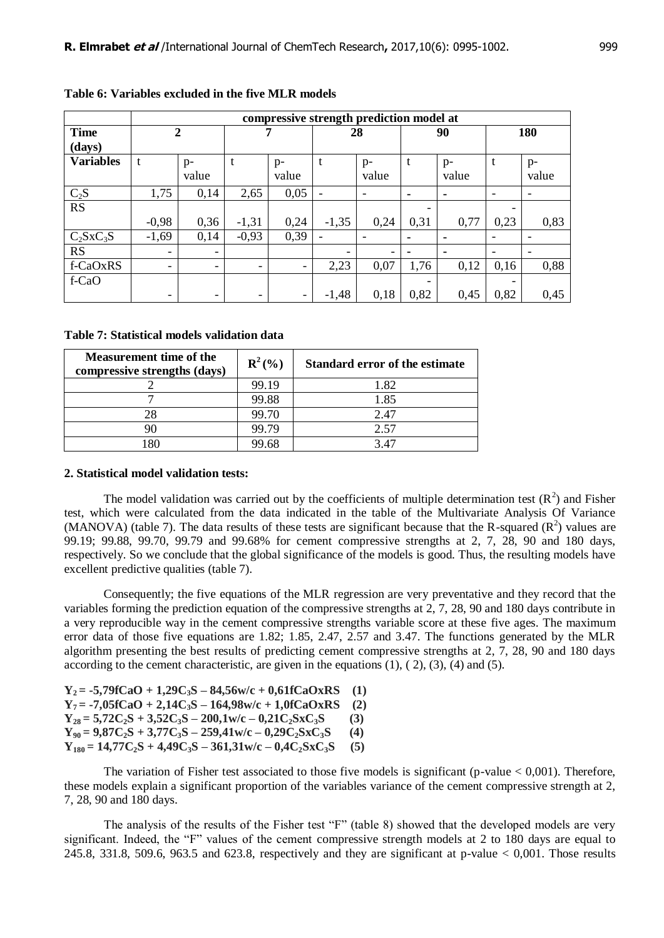|                  |                          | compressive strength prediction model at |                          |                          |         |                          |      |       |      |                          |  |
|------------------|--------------------------|------------------------------------------|--------------------------|--------------------------|---------|--------------------------|------|-------|------|--------------------------|--|
| <b>Time</b>      |                          | $\mathbf{2}$                             |                          |                          | 28      |                          | 90   |       | 180  |                          |  |
| (days)           |                          |                                          |                          |                          |         |                          |      |       |      |                          |  |
| <b>Variables</b> | t                        | $p-$                                     | t                        | $p-$                     | t       | $p-$                     | t    | $p-$  | t    | $p-$                     |  |
|                  |                          | value                                    |                          | value                    |         | value                    |      | value |      | value                    |  |
| $C_2S$           | 1,75                     | 0,14                                     | 2,65                     | 0,05                     |         | $\overline{\phantom{a}}$ |      |       | ۰    | $\overline{\phantom{a}}$ |  |
| RS               |                          |                                          |                          |                          |         |                          |      |       |      |                          |  |
|                  | $-0,98$                  | 0,36                                     | $-1,31$                  | 0,24                     | $-1,35$ | 0,24                     | 0,31 | 0,77  | 0,23 | 0,83                     |  |
| $C_2SxC_3S$      | $-1,69$                  | 0,14                                     | $-0,93$                  | 0,39                     |         | $\overline{\phantom{a}}$ |      |       |      | $\overline{\phantom{a}}$ |  |
| <b>RS</b>        | $\overline{\phantom{0}}$ | $\overline{\phantom{a}}$                 |                          |                          |         | -                        |      |       |      | $\overline{\phantom{0}}$ |  |
| f-CaOxRS         | $\overline{\phantom{0}}$ | $\overline{\phantom{a}}$                 | $\overline{\phantom{0}}$ | $\overline{\phantom{0}}$ | 2,23    | 0,07                     | 1,76 | 0,12  | 0,16 | 0,88                     |  |
| f-CaO            |                          |                                          |                          |                          |         |                          |      |       |      |                          |  |
|                  | $\overline{\phantom{0}}$ | $\overline{\phantom{a}}$                 |                          | $\overline{\phantom{a}}$ | $-1,48$ | 0,18                     | 0,82 | 0,45  | 0,82 | 0,45                     |  |

**Table 6: Variables excluded in the five MLR models**

**Table 7: Statistical models validation data**

| <b>Measurement time of the</b><br>compressive strengths (days) | ${\bf R}^{2}($ %) | <b>Standard error of the estimate</b> |
|----------------------------------------------------------------|-------------------|---------------------------------------|
|                                                                | 99.19             | 1.82                                  |
|                                                                | 99.88             | 1.85                                  |
| 28                                                             | 99.70             | 2.47                                  |
|                                                                | 99.79             | 2.57                                  |
| 80                                                             | 99.68             | 3.47                                  |

#### **2. Statistical model validation tests:**

The model validation was carried out by the coefficients of multiple determination test  $(R^2)$  and Fisher test, which were calculated from the data indicated in the table of the Multivariate Analysis Of Variance (MANOVA) (table 7). The data results of these tests are significant because that the R-squared  $(R^2)$  values are 99.19; 99.88, 99.70, 99.79 and 99.68% for cement compressive strengths at 2, 7, 28, 90 and 180 days, respectively. So we conclude that the global significance of the models is good. Thus, the resulting models have excellent predictive qualities (table 7).

Consequently; the five equations of the MLR regression are very preventative and they record that the variables forming the prediction equation of the compressive strengths at 2, 7, 28, 90 and 180 days contribute in a very reproducible way in the cement compressive strengths variable score at these five ages. The maximum error data of those five equations are 1.82; 1.85, 2.47, 2.57 and 3.47. The functions generated by the MLR algorithm presenting the best results of predicting cement compressive strengths at 2, 7, 28, 90 and 180 days according to the cement characteristic, are given in the equations  $(1)$ ,  $(2)$ ,  $(3)$ ,  $(4)$  and  $(5)$ .

| $Y_2 = -5,79fCaO + 1,29C_3S - 84,56w/c + 0,61fCaOxRS$               | - (1) |
|---------------------------------------------------------------------|-------|
| $Y_7 = -7.05 fCaO + 2.14 C_3S - 164.98 w/c + 1.0 fCaOxRS$           | (2)   |
| $Y_{28} = 5,72C_2S + 3,52C_3S - 200,1$ w/c $- 0,21C_2S \times C_3S$ | (3)   |
| $Y_{90} = 9,87C_2S + 3,77C_3S - 259,41w/c - 0,29C_2SxC_3S$          | (4)   |
| $Y_{180} = 14,77C_2S + 4,49C_3S - 361,31w/c - 0,4C_2SxC_3S$         | (5)   |

The variation of Fisher test associated to those five models is significant (p-value  $< 0.001$ ). Therefore, these models explain a significant proportion of the variables variance of the cement compressive strength at 2, 7, 28, 90 and 180 days.

The analysis of the results of the Fisher test "F" (table 8) showed that the developed models are very significant. Indeed, the "F" values of the cement compressive strength models at 2 to 180 days are equal to  $245.8$ ,  $331.8$ ,  $509.6$ ,  $963.5$  and  $623.8$ , respectively and they are significant at p-value  $< 0.001$ . Those results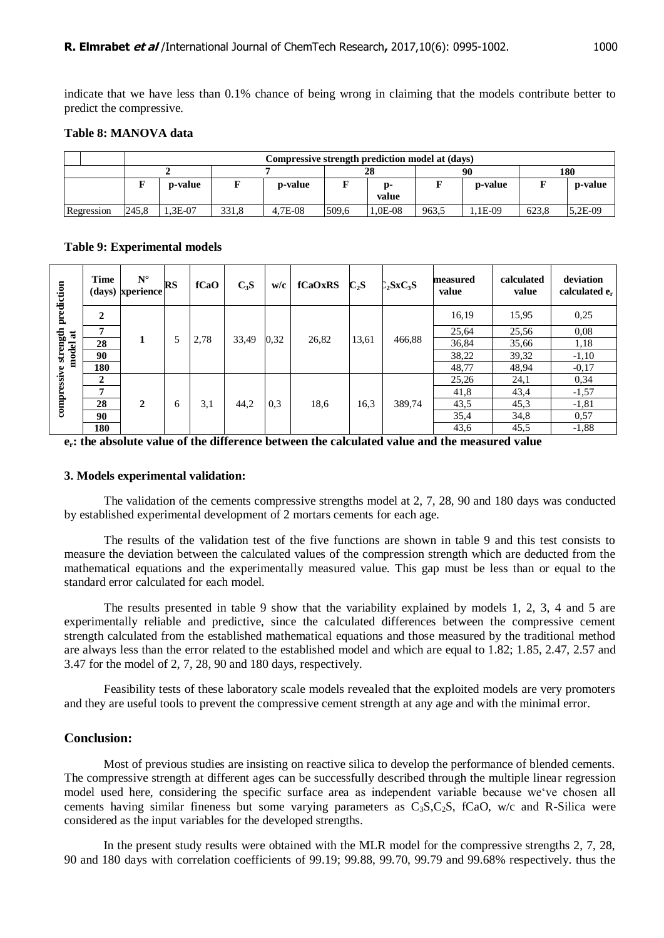indicate that we have less than 0.1% chance of being wrong in claiming that the models contribute better to predict the compressive.

#### **Table 8: MANOVA data**

|            |       | Compressive strength prediction model at (days) |       |         |       |             |       |         |       |         |  |  |
|------------|-------|-------------------------------------------------|-------|---------|-------|-------------|-------|---------|-------|---------|--|--|
|            |       |                                                 |       |         |       |             |       |         | 180   |         |  |  |
|            |       | p-value<br>p-value                              |       |         |       | n-<br>value |       | p-value |       | p-value |  |  |
| Regression | 245.8 | 3E-07.                                          | 331.8 | 4.7E-08 | 509.6 | .0E-08      | 963.5 | .1E-09  | 623.8 | 5.2E-09 |  |  |

#### **Table 9: Experimental models**

| prediction                              | <b>Time</b>  | $N^{\circ}$<br>(days) xperience | RS | fCaO | $C_3S$ | w/c  | fCaOxRS | $C_2S$ | $\Sigma_2$ SxC <sub>3</sub> S | measured<br>value | calculated<br>value | deviation<br>calculated $e_r$ |
|-----------------------------------------|--------------|---------------------------------|----|------|--------|------|---------|--------|-------------------------------|-------------------|---------------------|-------------------------------|
|                                         | 2            |                                 |    |      |        |      | 26,82   |        | 466,88                        | 16,19             | 15,95               | 0,25                          |
| strength <sub>]</sub><br>$\overline{a}$ | 7            |                                 |    |      | 33,49  |      |         | 13,61  |                               | 25,64             | 25,56               | 0.08                          |
|                                         | 28           | 1                               | 5  | 2,78 |        | 0.32 |         |        |                               | 36,84             | 35,66               | 1,18                          |
| model                                   | 90           |                                 |    |      |        |      |         |        |                               | 38,22             | 39,32               | $-1,10$                       |
|                                         | 180          |                                 |    |      |        |      |         |        |                               | 48,77             | 48,94               | $-0.17$                       |
| compressive                             | $\mathbf{2}$ |                                 |    |      |        |      |         |        |                               | 25,26             | 24,1                | 0,34                          |
|                                         | 7            |                                 |    |      |        |      |         |        | 389,74                        | 41,8              | 43,4                | $-1,57$                       |
|                                         | 28           | 2                               | 6  | 3,1  | 44,2   | 0.3  | 18,6    | 16,3   |                               | 43,5              | 45,3                | $-1, 81$                      |
|                                         | 90           |                                 |    |      |        |      |         |        |                               | 35,4              | 34,8                | 0,57                          |
|                                         | 180          |                                 |    |      |        |      |         |        |                               | 43,6              | 45,5                | $-1,88$                       |

**er: the absolute value of the difference between the calculated value and the measured value**

#### **3. Models experimental validation:**

The validation of the cements compressive strengths model at 2, 7, 28, 90 and 180 days was conducted by established experimental development of 2 mortars cements for each age.

The results of the validation test of the five functions are shown in table 9 and this test consists to measure the deviation between the calculated values of the compression strength which are deducted from the mathematical equations and the experimentally measured value. This gap must be less than or equal to the standard error calculated for each model.

The results presented in table 9 show that the variability explained by models 1, 2, 3, 4 and 5 are experimentally reliable and predictive, since the calculated differences between the compressive cement strength calculated from the established mathematical equations and those measured by the traditional method are always less than the error related to the established model and which are equal to 1.82; 1.85, 2.47, 2.57 and 3.47 for the model of 2, 7, 28, 90 and 180 days, respectively.

Feasibility tests of these laboratory scale models revealed that the exploited models are very promoters and they are useful tools to prevent the compressive cement strength at any age and with the minimal error.

#### **Conclusion:**

Most of previous studies are insisting on reactive silica to develop the performance of blended cements. The compressive strength at different ages can be successfully described through the multiple linear regression model used here, considering the specific surface area as independent variable because we"ve chosen all cements having similar fineness but some varying parameters as  $C_3S, C_2S$ , fCaO, w/c and R-Silica were considered as the input variables for the developed strengths.

In the present study results were obtained with the MLR model for the compressive strengths 2, 7, 28, 90 and 180 days with correlation coefficients of 99.19; 99.88, 99.70, 99.79 and 99.68% respectively. thus the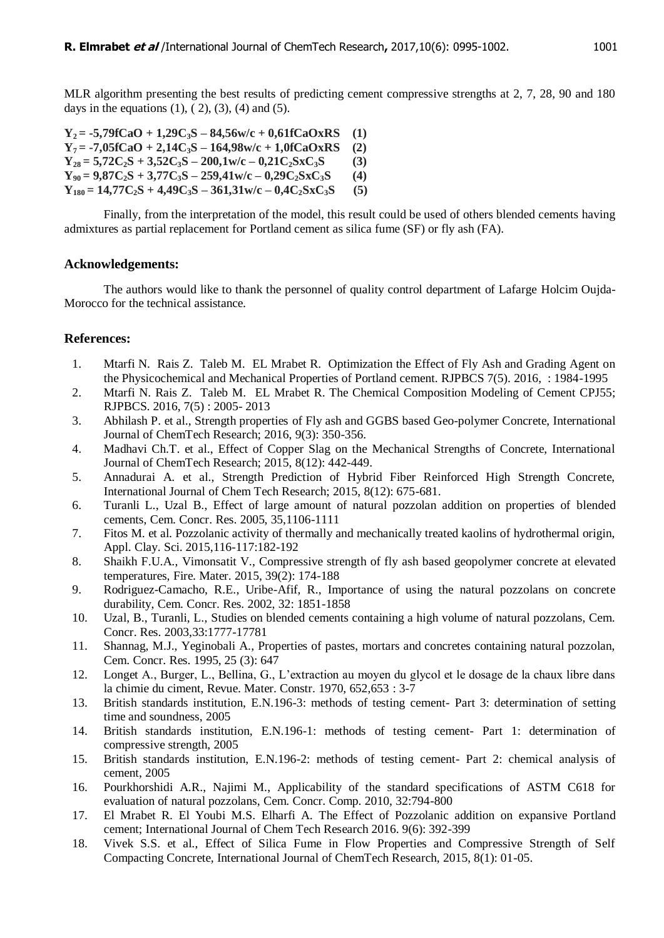MLR algorithm presenting the best results of predicting cement compressive strengths at 2, 7, 28, 90 and 180 days in the equations  $(1)$ ,  $(2)$ ,  $(3)$ ,  $(4)$  and  $(5)$ .

 $Y_2 = -5,79fCaO + 1,29C_3S - 84,56w/c + 0,61fCaOxRS$  (1)  $Y_7 = -7.05fCaO + 2.14C_3S - 164.98w/c + 1.0fCaOxRS$  (2)  $Y_{28} = 5,72C_{2}S + 3,52C_{3}S - 200,1 \text{w/c} - 0,21C_{2}S \text{x} C_{3}S$  (3)  $Y_{90} = 9,87C_2S + 3,77C_3S - 259,41w/c - 0,29C_2SxC_3S$  (4)  $Y_{180} = 14,77C_2S + 4,49C_3S - 361,31w/c - 0,4C_2SxC_3S$  (5)

Finally, from the interpretation of the model, this result could be used of others blended cements having admixtures as partial replacement for Portland cement as silica fume (SF) or fly ash (FA).

#### **Acknowledgements:**

The authors would like to thank the personnel of quality control department of Lafarge Holcim Oujda-Morocco for the technical assistance.

# **References:**

- 1. Mtarfi N. Rais Z. Taleb M. EL Mrabet R. Optimization the Effect of Fly Ash and Grading Agent on the Physicochemical and Mechanical Properties of Portland cement. RJPBCS 7(5). 2016, : 1984-1995
- 2. Mtarfi N. Rais Z. Taleb M. EL Mrabet R. The Chemical Composition Modeling of Cement CPJ55; RJPBCS. 2016, 7(5) : 2005- 2013
- 3. Abhilash P. et al., Strength properties of Fly ash and GGBS based Geo-polymer Concrete, International Journal of ChemTech Research; 2016, 9(3): 350-356.
- 4. Madhavi Ch.T. et al., Effect of Copper Slag on the Mechanical Strengths of Concrete, International Journal of ChemTech Research; 2015, 8(12): 442-449.
- 5. Annadurai A. et al., Strength Prediction of Hybrid Fiber Reinforced High Strength Concrete, International Journal of Chem Tech Research; 2015, 8(12): 675-681.
- 6. Turanli L., Uzal B., Effect of large amount of natural pozzolan addition on properties of blended cements, Cem. Concr. Res. 2005, 35,1106-1111
- 7. Fitos M. et al. Pozzolanic activity of thermally and mechanically treated kaolins of hydrothermal origin, Appl. Clay. Sci. 2015,116-117:182-192
- 8. Shaikh F.U.A., Vimonsatit V., Compressive strength of fly ash based geopolymer concrete at elevated temperatures, Fire. Mater. 2015, 39(2): 174-188
- 9. Rodriguez-Camacho, R.E., Uribe-Afif, R., Importance of using the natural pozzolans on concrete durability, Cem. Concr. Res. 2002, 32: 1851-1858
- 10. Uzal, B., Turanli, L., Studies on blended cements containing a high volume of natural pozzolans, Cem. Concr. Res. 2003,33:1777-17781
- 11. Shannag, M.J., Yeginobali A., Properties of pastes, mortars and concretes containing natural pozzolan, Cem. Concr. Res. 1995, 25 (3): 647
- 12. Longet A., Burger, L., Bellina, G., L"extraction au moyen du glycol et le dosage de la chaux libre dans la chimie du ciment, Revue. Mater. Constr. 1970, 652,653 : 3-7
- 13. British standards institution, E.N.196-3: methods of testing cement- Part 3: determination of setting time and soundness, 2005
- 14. British standards institution, E.N.196-1: methods of testing cement- Part 1: determination of compressive strength, 2005
- 15. British standards institution, E.N.196-2: methods of testing cement- Part 2: chemical analysis of cement, 2005
- 16. Pourkhorshidi A.R., Najimi M., Applicability of the standard specifications of ASTM C618 for evaluation of natural pozzolans, Cem. Concr. Comp. 2010, 32:794-800
- 17. El Mrabet R. El Youbi M.S. Elharfi A. The Effect of Pozzolanic addition on expansive Portland cement; International Journal of Chem Tech Research 2016. 9(6): 392-399
- 18. Vivek S.S. et al., Effect of Silica Fume in Flow Properties and Compressive Strength of Self Compacting Concrete, International Journal of ChemTech Research, 2015, 8(1): 01-05.